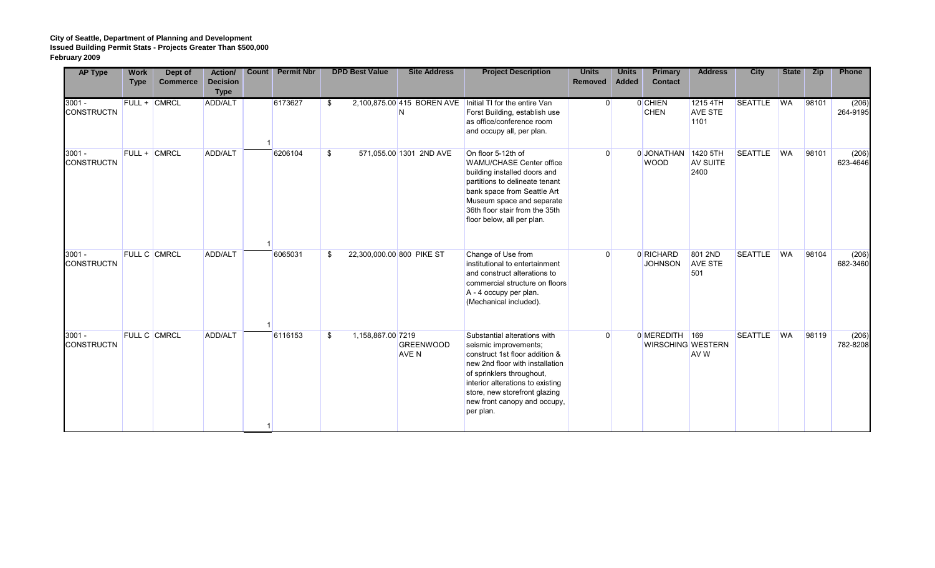| <b>AP Type</b>                | <b>Work</b><br><b>Type</b> | Dept of<br><b>Commerce</b> | Action/<br><b>Decision</b><br><b>Type</b> | <b>Count</b> | <b>Permit Nbr</b> |     | <b>DPD Best Value</b> | <b>Site Address</b>       | <b>Project Description</b>                                                                                                                                                                                                                                                | <b>Units</b><br>Removed | <b>Units</b><br><b>Added</b> | <b>Primary</b><br><b>Contact</b>  | <b>Address</b>                     | <b>City</b>    | <b>State</b> | <b>Zip</b> | Phone             |
|-------------------------------|----------------------------|----------------------------|-------------------------------------------|--------------|-------------------|-----|-----------------------|---------------------------|---------------------------------------------------------------------------------------------------------------------------------------------------------------------------------------------------------------------------------------------------------------------------|-------------------------|------------------------------|-----------------------------------|------------------------------------|----------------|--------------|------------|-------------------|
| $3001 -$<br><b>CONSTRUCTN</b> |                            | <b>FULL + CMRCL</b>        | ADD/ALT                                   |              | 6173627           | \$. |                       | N                         | 2,100,875.00 415 BOREN AVE   Initial TI for the entire Van<br>Forst Building, establish use<br>as office/conference room<br>and occupy all, per plan.                                                                                                                     |                         | $\Omega$                     | 0 CHIEN<br><b>CHEN</b>            | 1215 4TH<br><b>AVE STE</b><br>1101 | SEATTLE WA     |              | 98101      | (206)<br>264-9195 |
| $3001 -$<br><b>CONSTRUCTN</b> |                            | FULL + CMRCL               | ADD/ALT                                   |              | 6206104           | \$  |                       | 571,055.00 1301 2ND AVE   | On floor 5-12th of<br><b>WAMU/CHASE Center office</b><br>building installed doors and<br>partitions to delineate tenant<br>bank space from Seattle Art<br>Museum space and separate<br>36th floor stair from the 35th<br>floor below, all per plan.                       |                         | 0                            | 0JONATHAN 1420 5TH<br><b>WOOD</b> | <b>AV SUITE</b><br>2400            | <b>SEATTLE</b> | <b>WA</b>    | 98101      | (206)<br>623-4646 |
| $3001 -$<br><b>CONSTRUCTN</b> |                            | <b>FULL C CMRCL</b>        | ADD/ALT                                   |              | 6065031           | \$. |                       | 22,300,000.00 800 PIKE ST | Change of Use from<br>institutional to entertainment<br>and construct alterations to<br>commercial structure on floors<br>A - 4 occupy per plan.<br>(Mechanical included).                                                                                                | $\Omega$                |                              | 0 RICHARD<br><b>JOHNSON</b>       | 801 2ND<br><b>AVE STE</b><br>501   | <b>SEATTLE</b> | <b>WA</b>    | 98104      | (206)<br>682-3460 |
| $3001 -$<br><b>CONSTRUCTN</b> |                            | FULL C CMRCL               | ADD/ALT                                   |              | 6116153           | \$. | 1,158,867.00 7219     | <b>GREENWOOD</b><br>AVE N | Substantial alterations with<br>seismic improvements;<br>construct 1st floor addition &<br>new 2nd floor with installation<br>of sprinklers throughout,<br>interior alterations to existing<br>store, new storefront glazing<br>new front canopy and occupy,<br>per plan. | $\Omega$                |                              | 0 MEREDITH 169                    | WIRSCHING WESTERN<br><b>AVW</b>    | <b>SEATTLE</b> | <b>WA</b>    | 98119      | (206)<br>782-8208 |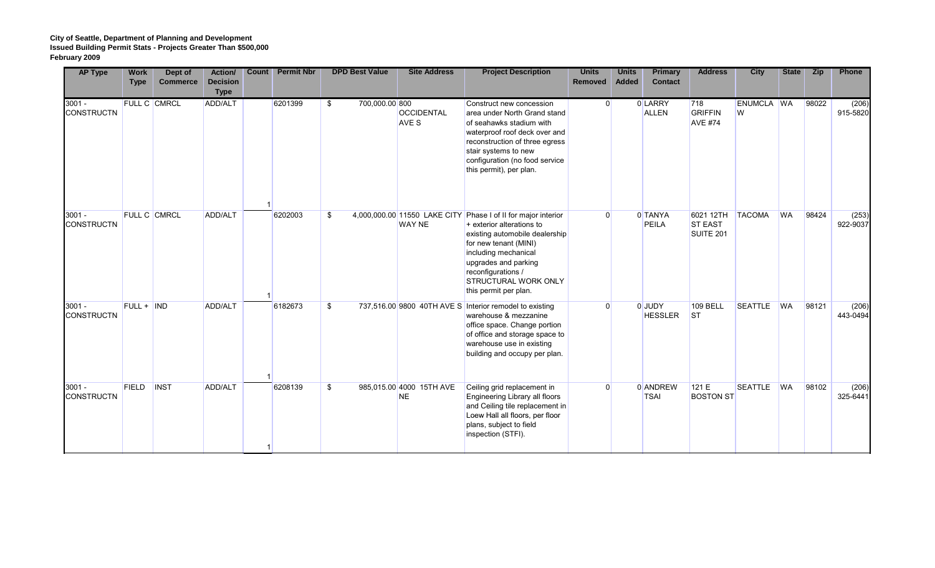| <b>AP Type</b>                | <b>Work</b><br><b>Type</b> | Dept of<br><b>Commerce</b> | <b>Action/</b><br><b>Decision</b><br><b>Type</b> | <b>Count</b> | <b>Permit Nbr</b> | <b>DPD Best Value</b> | <b>Site Address</b>                   | <b>Project Description</b>                                                                                                                                                                                                                                                          | <b>Units</b><br><b>Removed</b> | <b>Units</b><br><b>Added</b> | <b>Primary</b><br><b>Contact</b> | <b>Address</b>                           | <b>City</b>     | <b>State</b> | <b>Zip</b> | Phone             |
|-------------------------------|----------------------------|----------------------------|--------------------------------------------------|--------------|-------------------|-----------------------|---------------------------------------|-------------------------------------------------------------------------------------------------------------------------------------------------------------------------------------------------------------------------------------------------------------------------------------|--------------------------------|------------------------------|----------------------------------|------------------------------------------|-----------------|--------------|------------|-------------------|
| $3001 -$<br><b>CONSTRUCTN</b> |                            | FULL C CMRCL               | ADD/ALT                                          |              | 6201399           | 700,000.00 800<br>\$  | <b>OCCIDENTAL</b><br>AVE S            | Construct new concession<br>area under North Grand stand<br>of seahawks stadium with<br>waterproof roof deck over and<br>reconstruction of three egress<br>stair systems to new<br>configuration (no food service<br>this permit), per plan.                                        | $\overline{0}$                 |                              | 0 LARRY<br><b>ALLEN</b>          | 718<br><b>GRIFFIN</b><br><b>AVE #74</b>  | ENUMCLA WA<br>W |              | 98022      | (206)<br>915-5820 |
| $3001 -$<br><b>CONSTRUCTN</b> | FULL C CMRCL               |                            | ADD/ALT                                          |              | 6202003           | \$                    | <b>WAY NE</b>                         | 4,000,000.00 11550 LAKE CITY Phase I of II for major interior<br>+ exterior alterations to<br>existing automobile dealership<br>for new tenant (MINI)<br>including mechanical<br>upgrades and parking<br>reconfigurations /<br><b>STRUCTURAL WORK ONLY</b><br>this permit per plan. | $\Omega$                       |                              | 0 TANYA<br>PEILA                 | 6021 12TH<br><b>ST EAST</b><br>SUITE 201 | <b>TACOMA</b>   | <b>WA</b>    | 98424      | (253)<br>922-9037 |
| $3001 -$<br><b>CONSTRUCTN</b> | FULL + IND                 |                            | ADD/ALT                                          |              | 6182673           | \$                    |                                       | 737,516.00 9800 40TH AVE S Interior remodel to existing<br>warehouse & mezzanine<br>office space. Change portion<br>of office and storage space to<br>warehouse use in existing<br>building and occupy per plan.                                                                    | $\Omega$                       |                              | 0 JUDY<br><b>HESSLER</b>         | <b>109 BELL</b><br> ST                   | <b>SEATTLE</b>  | <b>WA</b>    | 98121      | (206)<br>443-0494 |
| $3001 -$<br><b>CONSTRUCTN</b> | <b>FIELD</b>               | <b>INST</b>                | ADD/ALT                                          |              | 6208139           | \$                    | 985,015.00 4000 15TH AVE<br><b>NE</b> | Ceiling grid replacement in<br>Engineering Library all floors<br>and Ceiling tile replacement in<br>Loew Hall all floors, per floor<br>plans, subject to field<br>inspection (STFI).                                                                                                | $\Omega$                       |                              | 0 ANDREW<br><b>TSAI</b>          | 121E<br><b>BOSTON ST</b>                 | <b>SEATTLE</b>  | <b>WA</b>    | 98102      | (206)<br>325-6441 |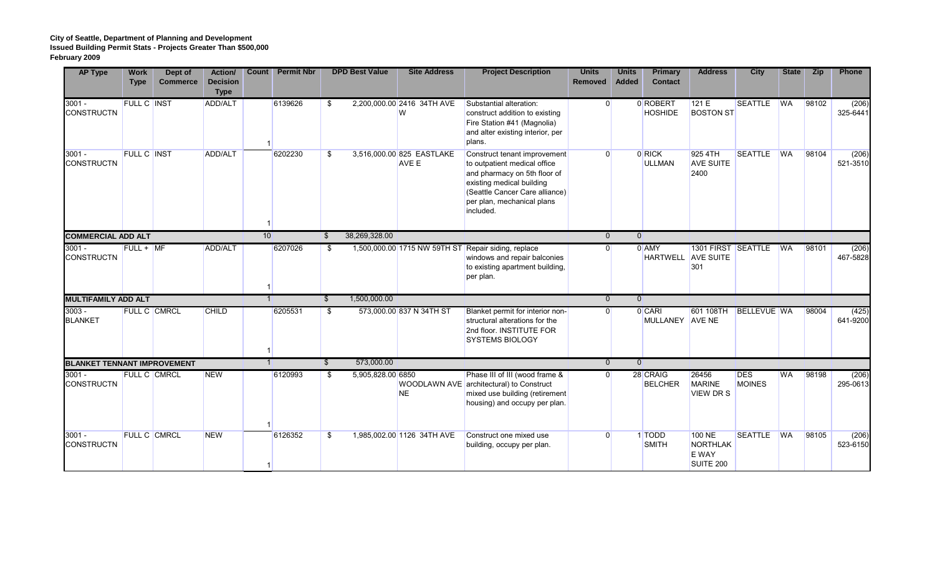| <b>AP Type</b>                     | <b>Work</b><br><b>Type</b> | Dept of<br><b>Commerce</b> | Action/<br><b>Decision</b><br><b>Type</b> | Count | <b>Permit Nbr</b> |                          | <b>DPD Best Value</b> | <b>Site Address</b>                | <b>Project Description</b>                                                                                                                                                                             | <b>Units</b><br><b>Removed</b> | <b>Units</b><br><b>Added</b> | <b>Primary</b><br><b>Contact</b> | <b>Address</b>                                         | <b>City</b>                 | <b>State</b> | <b>Zip</b> | Phone             |
|------------------------------------|----------------------------|----------------------------|-------------------------------------------|-------|-------------------|--------------------------|-----------------------|------------------------------------|--------------------------------------------------------------------------------------------------------------------------------------------------------------------------------------------------------|--------------------------------|------------------------------|----------------------------------|--------------------------------------------------------|-----------------------------|--------------|------------|-------------------|
| $3001 -$<br><b>CONSTRUCTN</b>      | FULL C INST                |                            | ADD/ALT                                   |       | 6139626           | \$                       |                       | 2,200,000.00 2416 34TH AVE<br>W    | Substantial alteration:<br>construct addition to existing<br>Fire Station #41 (Magnolia)<br>and alter existing interior, per<br>plans.                                                                 | $\overline{0}$                 |                              | 0 ROBERT<br><b>HOSHIDE</b>       | 121E<br><b>BOSTON ST</b>                               | <b>SEATTLE</b>              | <b>WA</b>    | 98102      | (206)<br>325-6441 |
| $3001 -$<br><b>CONSTRUCTN</b>      | <b>FULL C INST</b>         |                            | ADD/ALT                                   |       | 6202230           | \$                       |                       | 3,516,000.00 825 EASTLAKE<br>AVE E | Construct tenant improvement<br>to outpatient medical office<br>and pharmacy on 5th floor of<br>existing medical building<br>(Seattle Cancer Care alliance)<br>per plan, mechanical plans<br>included. | $\Omega$                       |                              | 0 RICK<br><b>ULLMAN</b>          | 925 4TH<br><b>AVE SUITE</b><br>2400                    | <b>SEATTLE</b>              | <b>WA</b>    | 98104      | (206)<br>521-3510 |
| <b>COMMERCIAL ADD ALT</b>          |                            |                            |                                           | 10    |                   | \$                       | 38,269,328.00         |                                    |                                                                                                                                                                                                        | $\overline{0}$                 | $\Omega$                     |                                  |                                                        |                             |              |            |                   |
| $3001 -$<br><b>CONSTRUCTN</b>      | $FULL + MF$                |                            | <b>ADD/ALT</b>                            |       | 6207026           | \$.                      |                       | 1,500,000.00 1715 NW 59TH ST       | Repair siding, replace<br>windows and repair balconies<br>to existing apartment building,<br>per plan.                                                                                                 | $\Omega$                       |                              | 0 AMY                            | 1301 FIRST SEATTLE<br><b>HARTWELL</b> AVE SUITE<br>301 |                             | <b>WA</b>    | 98101      | (206)<br>467-5828 |
| <b>MULTIFAMILY ADD ALT</b>         |                            |                            |                                           |       |                   | $\mathbb{S}$             | 1,500,000.00          |                                    |                                                                                                                                                                                                        | $\overline{0}$                 | $\overline{0}$               |                                  |                                                        |                             |              |            |                   |
| $3003 -$<br><b>BLANKET</b>         |                            | <b>FULL C CMRCL</b>        | <b>CHILD</b>                              |       | 6205531           | \$                       |                       | 573,000.00 837 N 34TH ST           | Blanket permit for interior non-<br>structural alterations for the<br>2nd floor. INSTITUTE FOR<br><b>SYSTEMS BIOLOGY</b>                                                                               | $\overline{0}$                 |                              | 0 CARI<br>MULLANEY AVE NE        | 601 108TH                                              | <b>BELLEVUE WA</b>          |              | 98004      | (425)<br>641-9200 |
| <b>BLANKET TENNANT IMPROVEMENT</b> |                            |                            |                                           |       |                   | $\overline{\mathcal{S}}$ | 573,000.00            |                                    |                                                                                                                                                                                                        | $\overline{0}$                 | $\overline{0}$               |                                  |                                                        |                             |              |            |                   |
| $3001 -$<br><b>CONSTRUCTN</b>      |                            | <b>FULL C CMRCL</b>        | <b>NEW</b>                                |       | 6120993           | \$.                      | 5,905,828.00 6850     | <b>NE</b>                          | Phase III of III (wood frame &<br>WOODLAWN AVE architectural) to Construct<br>mixed use building (retirement<br>housing) and occupy per plan.                                                          | $\Omega$                       |                              | 28 CRAIG<br><b>BELCHER</b>       | 26456<br><b>MARINE</b><br><b>VIEW DRS</b>              | <b>DES</b><br><b>MOINES</b> | <b>WA</b>    | 98198      | (206)<br>295-0613 |
| $3001 -$<br><b>CONSTRUCTN</b>      | <b>FULL C CMRCL</b>        |                            | <b>NEW</b>                                |       | 6126352           | \$                       |                       | 1,985,002.00 1126 34TH AVE         | Construct one mixed use<br>building, occupy per plan.                                                                                                                                                  | $\Omega$                       |                              | 1 TODD<br><b>SMITH</b>           | <b>100 NE</b><br><b>NORTHLAK</b><br>E WAY<br>SUITE 200 | <b>SEATTLE</b>              | <b>WA</b>    | 98105      | (206)<br>523-6150 |